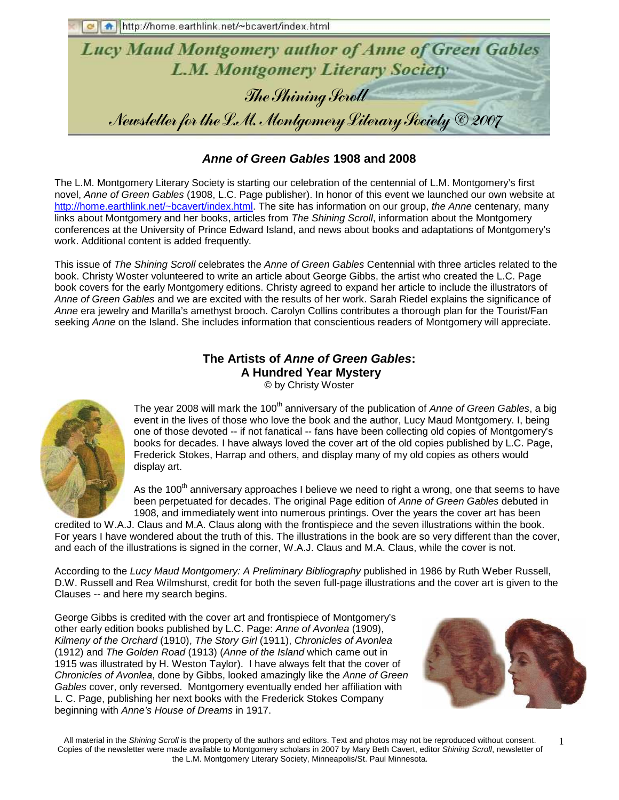http://home.earthlink.net/~bcavert/index.html



### **Anne of Green Gables 1908 and 2008**

The L.M. Montgomery Literary Society is starting our celebration of the centennial of L.M. Montgomery's first novel, Anne of Green Gables (1908, L.C. Page publisher). In honor of this event we launched our own website at http://home.earthlink.net/~bcavert/index.html. The site has information on our group, the Anne centenary, many links about Montgomery and her books, articles from The Shining Scroll, information about the Montgomery conferences at the University of Prince Edward Island, and news about books and adaptations of Montgomery's work. Additional content is added frequently.

This issue of The Shining Scroll celebrates the Anne of Green Gables Centennial with three articles related to the book. Christy Woster volunteered to write an article about George Gibbs, the artist who created the L.C. Page book covers for the early Montgomery editions. Christy agreed to expand her article to include the illustrators of Anne of Green Gables and we are excited with the results of her work. Sarah Riedel explains the significance of Anne era jewelry and Marilla's amethyst brooch. Carolyn Collins contributes a thorough plan for the Tourist/Fan seeking Anne on the Island. She includes information that conscientious readers of Montgomery will appreciate.

## **The Artists of Anne of Green Gables: A Hundred Year Mystery**

© by Christy Woster



The year 2008 will mark the 100<sup>th</sup> anniversary of the publication of Anne of Green Gables, a big event in the lives of those who love the book and the author, Lucy Maud Montgomery. I, being one of those devoted -- if not fanatical -- fans have been collecting old copies of Montgomery's books for decades. I have always loved the cover art of the old copies published by L.C. Page, Frederick Stokes, Harrap and others, and display many of my old copies as others would display art.

As the 100<sup>th</sup> anniversary approaches I believe we need to right a wrong, one that seems to have been perpetuated for decades. The original Page edition of Anne of Green Gables debuted in 1908, and immediately went into numerous printings. Over the years the cover art has been

credited to W.A.J. Claus and M.A. Claus along with the frontispiece and the seven illustrations within the book. For years I have wondered about the truth of this. The illustrations in the book are so very different than the cover, and each of the illustrations is signed in the corner, W.A.J. Claus and M.A. Claus, while the cover is not.

According to the Lucy Maud Montgomery: A Preliminary Bibliography published in 1986 by Ruth Weber Russell, D.W. Russell and Rea Wilmshurst, credit for both the seven full-page illustrations and the cover art is given to the Clauses -- and here my search begins.

George Gibbs is credited with the cover art and frontispiece of Montgomery's other early edition books published by L.C. Page: Anne of Avonlea (1909), Kilmeny of the Orchard (1910), The Story Girl (1911), Chronicles of Avonlea (1912) and The Golden Road (1913) (Anne of the Island which came out in 1915 was illustrated by H. Weston Taylor). I have always felt that the cover of Chronicles of Avonlea, done by Gibbs, looked amazingly like the Anne of Green Gables cover, only reversed. Montgomery eventually ended her affiliation with L. C. Page, publishing her next books with the Frederick Stokes Company beginning with Anne's House of Dreams in 1917.

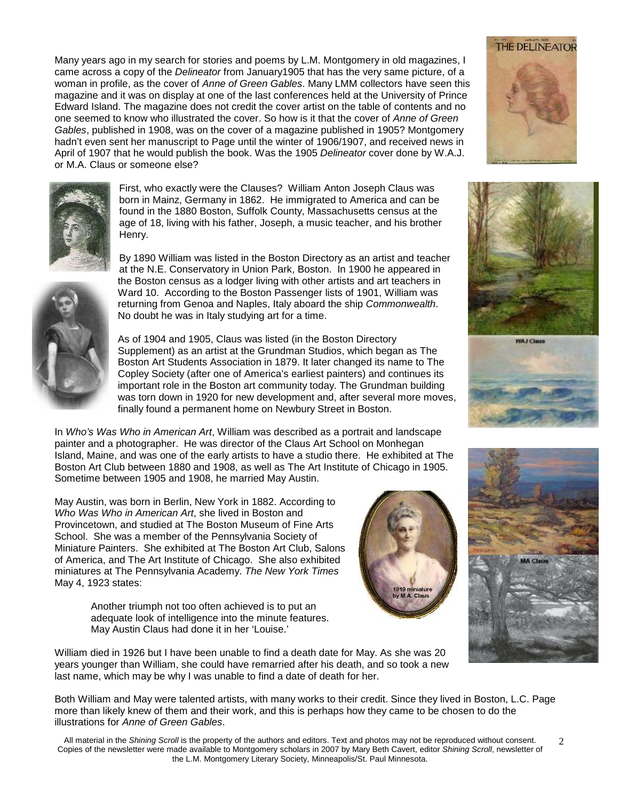Many years ago in my search for stories and poems by L.M. Montgomery in old magazines, I came across a copy of the Delineator from January1905 that has the very same picture, of a woman in profile, as the cover of Anne of Green Gables. Many LMM collectors have seen this magazine and it was on display at one of the last conferences held at the University of Prince Edward Island. The magazine does not credit the cover artist on the table of contents and no one seemed to know who illustrated the cover. So how is it that the cover of Anne of Green Gables, published in 1908, was on the cover of a magazine published in 1905? Montgomery hadn't even sent her manuscript to Page until the winter of 1906/1907, and received news in April of 1907 that he would publish the book. Was the 1905 Delineator cover done by W.A.J. or M.A. Claus or someone else?



First, who exactly were the Clauses? William Anton Joseph Claus was born in Mainz, Germany in 1862. He immigrated to America and can be found in the 1880 Boston, Suffolk County, Massachusetts census at the age of 18, living with his father, Joseph, a music teacher, and his brother Henry.

By 1890 William was listed in the Boston Directory as an artist and teacher at the N.E. Conservatory in Union Park, Boston. In 1900 he appeared in the Boston census as a lodger living with other artists and art teachers in Ward 10. According to the Boston Passenger lists of 1901, William was returning from Genoa and Naples, Italy aboard the ship Commonwealth. No doubt he was in Italy studying art for a time.



As of 1904 and 1905, Claus was listed (in the Boston Directory Supplement) as an artist at the Grundman Studios, which began as The Boston Art Students Association in 1879. It later changed its name to The Copley Society (after one of America's earliest painters) and continues its important role in the Boston art community today. The Grundman building was torn down in 1920 for new development and, after several more moves, finally found a permanent home on Newbury Street in Boston.

In Who's Was Who in American Art, William was described as a portrait and landscape painter and a photographer. He was director of the Claus Art School on Monhegan Island, Maine, and was one of the early artists to have a studio there. He exhibited at The Boston Art Club between 1880 and 1908, as well as The Art Institute of Chicago in 1905. Sometime between 1905 and 1908, he married May Austin.

May Austin, was born in Berlin, New York in 1882. According to Who Was Who in American Art, she lived in Boston and Provincetown, and studied at The Boston Museum of Fine Arts School. She was a member of the Pennsylvania Society of Miniature Painters. She exhibited at The Boston Art Club, Salons of America, and The Art Institute of Chicago. She also exhibited miniatures at The Pennsylvania Academy. The New York Times May 4, 1923 states:

> Another triumph not too often achieved is to put an adequate look of intelligence into the minute features. May Austin Claus had done it in her 'Louise.'

William died in 1926 but I have been unable to find a death date for May. As she was 20 years younger than William, she could have remarried after his death, and so took a new last name, which may be why I was unable to find a date of death for her.

Both William and May were talented artists, with many works to their credit. Since they lived in Boston, L.C. Page more than likely knew of them and their work, and this is perhaps how they came to be chosen to do the illustrations for Anne of Green Gables.









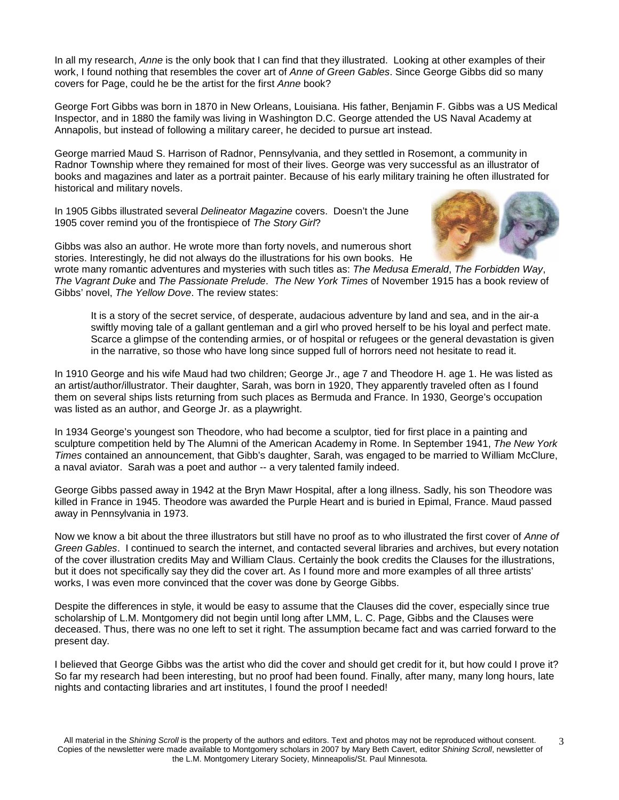In all my research, Anne is the only book that I can find that they illustrated. Looking at other examples of their work, I found nothing that resembles the cover art of Anne of Green Gables. Since George Gibbs did so many covers for Page, could he be the artist for the first Anne book?

George Fort Gibbs was born in 1870 in New Orleans, Louisiana. His father, Benjamin F. Gibbs was a US Medical Inspector, and in 1880 the family was living in Washington D.C. George attended the US Naval Academy at Annapolis, but instead of following a military career, he decided to pursue art instead.

George married Maud S. Harrison of Radnor, Pennsylvania, and they settled in Rosemont, a community in Radnor Township where they remained for most of their lives. George was very successful as an illustrator of books and magazines and later as a portrait painter. Because of his early military training he often illustrated for historical and military novels.

In 1905 Gibbs illustrated several Delineator Magazine covers. Doesn't the June 1905 cover remind you of the frontispiece of The Story Girl?



Gibbs was also an author. He wrote more than forty novels, and numerous short stories. Interestingly, he did not always do the illustrations for his own books. He

wrote many romantic adventures and mysteries with such titles as: The Medusa Emerald, The Forbidden Way, The Vagrant Duke and The Passionate Prelude. The New York Times of November 1915 has a book review of Gibbs' novel, The Yellow Dove. The review states:

It is a story of the secret service, of desperate, audacious adventure by land and sea, and in the air-a swiftly moving tale of a gallant gentleman and a girl who proved herself to be his loyal and perfect mate. Scarce a glimpse of the contending armies, or of hospital or refugees or the general devastation is given in the narrative, so those who have long since supped full of horrors need not hesitate to read it.

In 1910 George and his wife Maud had two children; George Jr., age 7 and Theodore H. age 1. He was listed as an artist/author/illustrator. Their daughter, Sarah, was born in 1920, They apparently traveled often as I found them on several ships lists returning from such places as Bermuda and France. In 1930, George's occupation was listed as an author, and George Jr. as a playwright.

In 1934 George's youngest son Theodore, who had become a sculptor, tied for first place in a painting and sculpture competition held by The Alumni of the American Academy in Rome. In September 1941, The New York Times contained an announcement, that Gibb's daughter, Sarah, was engaged to be married to William McClure, a naval aviator. Sarah was a poet and author -- a very talented family indeed.

George Gibbs passed away in 1942 at the Bryn Mawr Hospital, after a long illness. Sadly, his son Theodore was killed in France in 1945. Theodore was awarded the Purple Heart and is buried in Epimal, France. Maud passed away in Pennsylvania in 1973.

Now we know a bit about the three illustrators but still have no proof as to who illustrated the first cover of Anne of Green Gables. I continued to search the internet, and contacted several libraries and archives, but every notation of the cover illustration credits May and William Claus. Certainly the book credits the Clauses for the illustrations, but it does not specifically say they did the cover art. As I found more and more examples of all three artists' works, I was even more convinced that the cover was done by George Gibbs.

Despite the differences in style, it would be easy to assume that the Clauses did the cover, especially since true scholarship of L.M. Montgomery did not begin until long after LMM, L. C. Page, Gibbs and the Clauses were deceased. Thus, there was no one left to set it right. The assumption became fact and was carried forward to the present day.

I believed that George Gibbs was the artist who did the cover and should get credit for it, but how could I prove it? So far my research had been interesting, but no proof had been found. Finally, after many, many long hours, late nights and contacting libraries and art institutes, I found the proof I needed!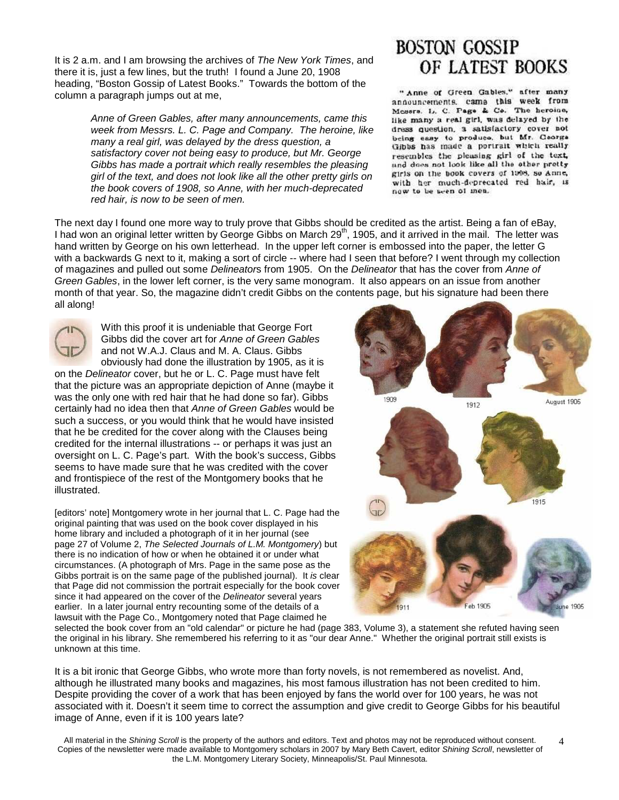It is 2 a.m. and I am browsing the archives of The New York Times, and there it is, just a few lines, but the truth! I found a June 20, 1908 heading, "Boston Gossip of Latest Books." Towards the bottom of the column a paragraph jumps out at me,

> Anne of Green Gables, after many announcements, came this week from Messrs. L. C. Page and Company. The heroine, like many a real girl, was delayed by the dress question, a satisfactory cover not being easy to produce, but Mr. George Gibbs has made a portrait which really resembles the pleasing girl of the text, and does not look like all the other pretty girls on the book covers of 1908, so Anne, with her much-deprecated red hair, is now to be seen of men.

# **BOSTON GOSSIP** OF LATEST BOOKS

" Anne of Green Gables," after many announcements, came this week from Mesors. L. C. Page & Co. The heroine, like many a real girl, was delayed by the dress question, a satisfactory cover not being easy to produce, but Mr. Ceorga Gibbs has made a portrait which really resembles the pleasing girl of the text, und does not look like all the other pretty girls on the book covers of 1008, so Anne, with her much-deprecated red hair, is now to be seen of men.

The next day I found one more way to truly prove that Gibbs should be credited as the artist. Being a fan of eBay, I had won an original letter written by George Gibbs on March 29<sup>th</sup>, 1905, and it arrived in the mail. The letter was hand written by George on his own letterhead. In the upper left corner is embossed into the paper, the letter G with a backwards G next to it, making a sort of circle -- where had I seen that before? I went through my collection of magazines and pulled out some Delineators from 1905. On the Delineator that has the cover from Anne of Green Gables, in the lower left corner, is the very same monogram. It also appears on an issue from another month of that year. So, the magazine didn't credit Gibbs on the contents page, but his signature had been there all along!



With this proof it is undeniable that George Fort Gibbs did the cover art for Anne of Green Gables and not W.A.J. Claus and M. A. Claus. Gibbs obviously had done the illustration by 1905, as it is

on the Delineator cover, but he or L. C. Page must have felt that the picture was an appropriate depiction of Anne (maybe it was the only one with red hair that he had done so far). Gibbs certainly had no idea then that Anne of Green Gables would be such a success, or you would think that he would have insisted that he be credited for the cover along with the Clauses being credited for the internal illustrations -- or perhaps it was just an oversight on L. C. Page's part. With the book's success, Gibbs seems to have made sure that he was credited with the cover and frontispiece of the rest of the Montgomery books that he illustrated.

[editors' note] Montgomery wrote in her journal that L. C. Page had the original painting that was used on the book cover displayed in his home library and included a photograph of it in her journal (see page 27 of Volume 2, The Selected Journals of L.M. Montgomery) but there is no indication of how or when he obtained it or under what circumstances. (A photograph of Mrs. Page in the same pose as the Gibbs portrait is on the same page of the published journal). It is clear that Page did not commission the portrait especially for the book cover since it had appeared on the cover of the Delineator several years earlier. In a later journal entry recounting some of the details of a lawsuit with the Page Co., Montgomery noted that Page claimed he



selected the book cover from an "old calendar" or picture he had (page 383, Volume 3), a statement she refuted having seen the original in his library. She remembered his referring to it as "our dear Anne." Whether the original portrait still exists is unknown at this time.

It is a bit ironic that George Gibbs, who wrote more than forty novels, is not remembered as novelist. And, although he illustrated many books and magazines, his most famous illustration has not been credited to him. Despite providing the cover of a work that has been enjoyed by fans the world over for 100 years, he was not associated with it. Doesn't it seem time to correct the assumption and give credit to George Gibbs for his beautiful image of Anne, even if it is 100 years late?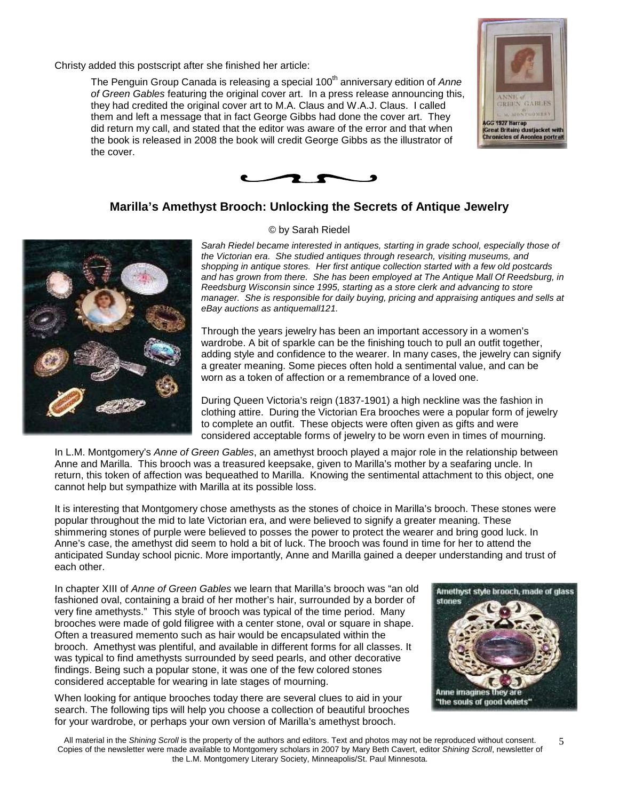Christy added this postscript after she finished her article:

The Penguin Group Canada is releasing a special 100<sup>th</sup> anniversary edition of Anne of Green Gables featuring the original cover art. In a press release announcing this, they had credited the original cover art to M.A. Claus and W.A.J. Claus. I called them and left a message that in fact George Gibbs had done the cover art. They did return my call, and stated that the editor was aware of the error and that when the book is released in 2008 the book will credit George Gibbs as the illustrator of the cover.





### **Marilla's Amethyst Brooch: Unlocking the Secrets of Antique Jewelry**



#### © by Sarah Riedel

Sarah Riedel became interested in antiques, starting in grade school, especially those of the Victorian era. She studied antiques through research, visiting museums, and shopping in antique stores. Her first antique collection started with a few old postcards and has grown from there. She has been employed at The Antique Mall Of Reedsburg, in Reedsburg Wisconsin since 1995, starting as a store clerk and advancing to store manager. She is responsible for daily buying, pricing and appraising antiques and sells at eBay auctions as antiquemall121.

Through the years jewelry has been an important accessory in a women's wardrobe. A bit of sparkle can be the finishing touch to pull an outfit together, adding style and confidence to the wearer. In many cases, the jewelry can signify a greater meaning. Some pieces often hold a sentimental value, and can be worn as a token of affection or a remembrance of a loved one.

During Queen Victoria's reign (1837-1901) a high neckline was the fashion in clothing attire. During the Victorian Era brooches were a popular form of jewelry to complete an outfit. These objects were often given as gifts and were considered acceptable forms of jewelry to be worn even in times of mourning.

In L.M. Montgomery's Anne of Green Gables, an amethyst brooch played a major role in the relationship between Anne and Marilla. This brooch was a treasured keepsake, given to Marilla's mother by a seafaring uncle. In return, this token of affection was bequeathed to Marilla. Knowing the sentimental attachment to this object, one cannot help but sympathize with Marilla at its possible loss.

It is interesting that Montgomery chose amethysts as the stones of choice in Marilla's brooch. These stones were popular throughout the mid to late Victorian era, and were believed to signify a greater meaning. These shimmering stones of purple were believed to posses the power to protect the wearer and bring good luck. In Anne's case, the amethyst did seem to hold a bit of luck. The brooch was found in time for her to attend the anticipated Sunday school picnic. More importantly, Anne and Marilla gained a deeper understanding and trust of each other.

In chapter XIII of Anne of Green Gables we learn that Marilla's brooch was "an old fashioned oval, containing a braid of her mother's hair, surrounded by a border of very fine amethysts." This style of brooch was typical of the time period. Many brooches were made of gold filigree with a center stone, oval or square in shape. Often a treasured memento such as hair would be encapsulated within the brooch. Amethyst was plentiful, and available in different forms for all classes. It was typical to find amethysts surrounded by seed pearls, and other decorative findings. Being such a popular stone, it was one of the few colored stones considered acceptable for wearing in late stages of mourning.

When looking for antique brooches today there are several clues to aid in your search. The following tips will help you choose a collection of beautiful brooches for your wardrobe, or perhaps your own version of Marilla's amethyst brooch.

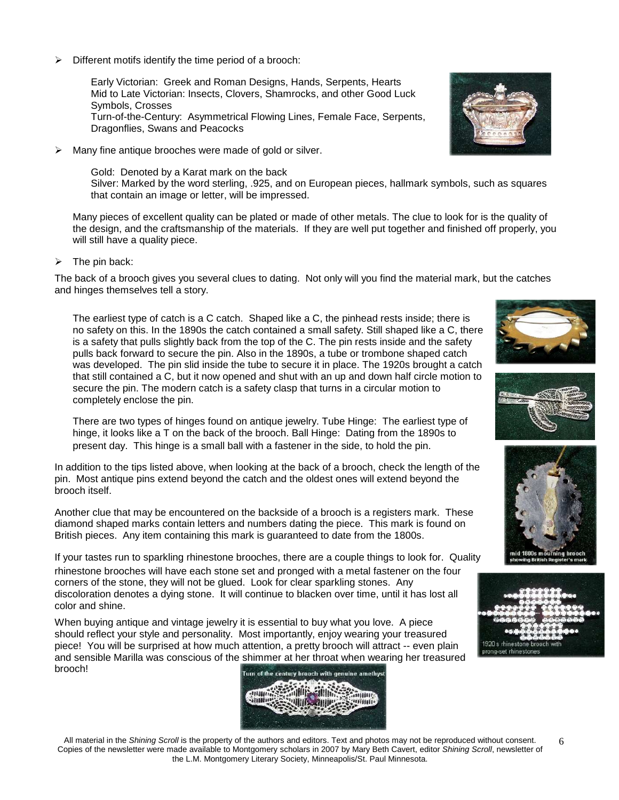$\triangleright$  Different motifs identify the time period of a brooch:

Early Victorian: Greek and Roman Designs, Hands, Serpents, Hearts Mid to Late Victorian: Insects, Clovers, Shamrocks, and other Good Luck Symbols, Crosses Turn-of-the-Century: Asymmetrical Flowing Lines, Female Face, Serpents, Dragonflies, Swans and Peacocks

 $\triangleright$  Many fine antique brooches were made of gold or silver.

Gold: Denoted by a Karat mark on the back Silver: Marked by the word sterling, .925, and on European pieces, hallmark symbols, such as squares that contain an image or letter, will be impressed.

Many pieces of excellent quality can be plated or made of other metals. The clue to look for is the quality of the design, and the craftsmanship of the materials. If they are well put together and finished off properly, you will still have a quality piece.

 $\triangleright$  The pin back:

The back of a brooch gives you several clues to dating. Not only will you find the material mark, but the catches and hinges themselves tell a story.

The earliest type of catch is a C catch. Shaped like a C, the pinhead rests inside; there is no safety on this. In the 1890s the catch contained a small safety. Still shaped like a C, there is a safety that pulls slightly back from the top of the C. The pin rests inside and the safety pulls back forward to secure the pin. Also in the 1890s, a tube or trombone shaped catch was developed. The pin slid inside the tube to secure it in place. The 1920s brought a catch that still contained a C, but it now opened and shut with an up and down half circle motion to secure the pin. The modern catch is a safety clasp that turns in a circular motion to completely enclose the pin.

There are two types of hinges found on antique jewelry. Tube Hinge: The earliest type of hinge, it looks like a T on the back of the brooch. Ball Hinge: Dating from the 1890s to present day. This hinge is a small ball with a fastener in the side, to hold the pin.

In addition to the tips listed above, when looking at the back of a brooch, check the length of the pin. Most antique pins extend beyond the catch and the oldest ones will extend beyond the brooch itself.

Another clue that may be encountered on the backside of a brooch is a registers mark. These diamond shaped marks contain letters and numbers dating the piece. This mark is found on British pieces. Any item containing this mark is guaranteed to date from the 1800s.

If your tastes run to sparkling rhinestone brooches, there are a couple things to look for. Quality rhinestone brooches will have each stone set and pronged with a metal fastener on the four corners of the stone, they will not be glued. Look for clear sparkling stones. Any discoloration denotes a dying stone. It will continue to blacken over time, until it has lost all color and shine.

When buying antique and vintage jewelry it is essential to buy what you love. A piece should reflect your style and personality. Most importantly, enjoy wearing your treasured piece! You will be surprised at how much attention, a pretty brooch will attract -- even plain and sensible Marilla was conscious of the shimmer at her throat when wearing her treasured brooch! Turn of the century brooch with genuine amethyst













All material in the Shining Scroll is the property of the authors and editors. Text and photos may not be reproduced without consent. Copies of the newsletter were made available to Montgomery scholars in 2007 by Mary Beth Cavert, editor Shining Scroll, newsletter of the L.M. Montgomery Literary Society, Minneapolis/St. Paul Minnesota.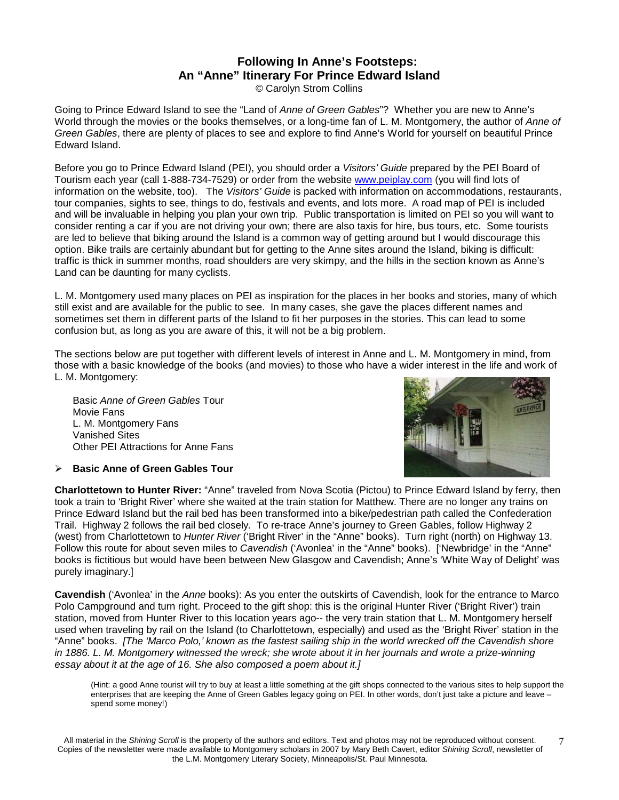### **Following In Anne's Footsteps: An "Anne" Itinerary For Prince Edward Island**

© Carolyn Strom Collins

Going to Prince Edward Island to see the "Land of Anne of Green Gables"? Whether you are new to Anne's World through the movies or the books themselves, or a long-time fan of L. M. Montgomery, the author of Anne of Green Gables, there are plenty of places to see and explore to find Anne's World for yourself on beautiful Prince Edward Island.

Before you go to Prince Edward Island (PEI), you should order a Visitors' Guide prepared by the PEI Board of Tourism each year (call 1-888-734-7529) or order from the website www.peiplay.com (you will find lots of information on the website, too). The Visitors' Guide is packed with information on accommodations, restaurants, tour companies, sights to see, things to do, festivals and events, and lots more. A road map of PEI is included and will be invaluable in helping you plan your own trip. Public transportation is limited on PEI so you will want to consider renting a car if you are not driving your own; there are also taxis for hire, bus tours, etc. Some tourists are led to believe that biking around the Island is a common way of getting around but I would discourage this option. Bike trails are certainly abundant but for getting to the Anne sites around the Island, biking is difficult: traffic is thick in summer months, road shoulders are very skimpy, and the hills in the section known as Anne's Land can be daunting for many cyclists.

L. M. Montgomery used many places on PEI as inspiration for the places in her books and stories, many of which still exist and are available for the public to see. In many cases, she gave the places different names and sometimes set them in different parts of the Island to fit her purposes in the stories. This can lead to some confusion but, as long as you are aware of this, it will not be a big problem.

The sections below are put together with different levels of interest in Anne and L. M. Montgomery in mind, from those with a basic knowledge of the books (and movies) to those who have a wider interest in the life and work of L. M. Montgomery:

Basic Anne of Green Gables Tour Movie Fans L. M. Montgomery Fans Vanished Sites Other PEI Attractions for Anne Fans



**Basic Anne of Green Gables Tour** 

**Charlottetown to Hunter River:** "Anne" traveled from Nova Scotia (Pictou) to Prince Edward Island by ferry, then took a train to 'Bright River' where she waited at the train station for Matthew. There are no longer any trains on Prince Edward Island but the rail bed has been transformed into a bike/pedestrian path called the Confederation Trail. Highway 2 follows the rail bed closely. To re-trace Anne's journey to Green Gables, follow Highway 2 (west) from Charlottetown to Hunter River ('Bright River' in the "Anne" books). Turn right (north) on Highway 13. Follow this route for about seven miles to Cavendish ('Avonlea' in the "Anne" books). ['Newbridge' in the "Anne" books is fictitious but would have been between New Glasgow and Cavendish; Anne's 'White Way of Delight' was purely imaginary.]

**Cavendish** ('Avonlea' in the Anne books): As you enter the outskirts of Cavendish, look for the entrance to Marco Polo Campground and turn right. Proceed to the gift shop: this is the original Hunter River ('Bright River') train station, moved from Hunter River to this location years ago-- the very train station that L. M. Montgomery herself used when traveling by rail on the Island (to Charlottetown, especially) and used as the 'Bright River' station in the "Anne" books. [The 'Marco Polo,' known as the fastest sailing ship in the world wrecked off the Cavendish shore in 1886. L. M. Montgomery witnessed the wreck; she wrote about it in her journals and wrote a prize-winning essay about it at the age of 16. She also composed a poem about it.]

(Hint: a good Anne tourist will try to buy at least a little something at the gift shops connected to the various sites to help support the enterprises that are keeping the Anne of Green Gables legacy going on PEI. In other words, don't just take a picture and leave – spend some money!)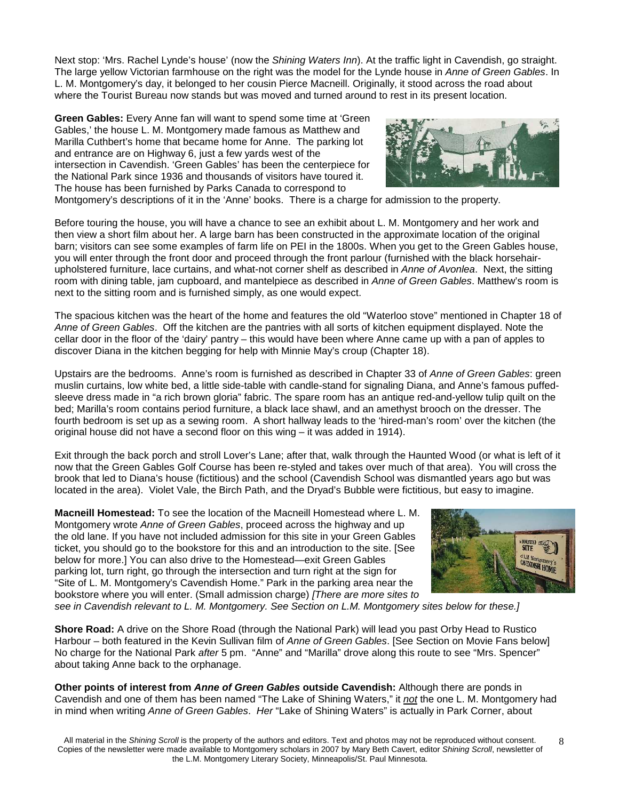Next stop: 'Mrs. Rachel Lynde's house' (now the Shining Waters Inn). At the traffic light in Cavendish, go straight. The large yellow Victorian farmhouse on the right was the model for the Lynde house in Anne of Green Gables. In L. M. Montgomery's day, it belonged to her cousin Pierce Macneill. Originally, it stood across the road about where the Tourist Bureau now stands but was moved and turned around to rest in its present location.

**Green Gables:** Every Anne fan will want to spend some time at 'Green Gables,' the house L. M. Montgomery made famous as Matthew and Marilla Cuthbert's home that became home for Anne. The parking lot and entrance are on Highway 6, just a few yards west of the intersection in Cavendish. 'Green Gables' has been the centerpiece for the National Park since 1936 and thousands of visitors have toured it. The house has been furnished by Parks Canada to correspond to



Montgomery's descriptions of it in the 'Anne' books. There is a charge for admission to the property.

Before touring the house, you will have a chance to see an exhibit about L. M. Montgomery and her work and then view a short film about her. A large barn has been constructed in the approximate location of the original barn; visitors can see some examples of farm life on PEI in the 1800s. When you get to the Green Gables house, you will enter through the front door and proceed through the front parlour (furnished with the black horsehairupholstered furniture, lace curtains, and what-not corner shelf as described in Anne of Avonlea. Next, the sitting room with dining table, jam cupboard, and mantelpiece as described in Anne of Green Gables. Matthew's room is next to the sitting room and is furnished simply, as one would expect.

The spacious kitchen was the heart of the home and features the old "Waterloo stove" mentioned in Chapter 18 of Anne of Green Gables. Off the kitchen are the pantries with all sorts of kitchen equipment displayed. Note the cellar door in the floor of the 'dairy' pantry – this would have been where Anne came up with a pan of apples to discover Diana in the kitchen begging for help with Minnie May's croup (Chapter 18).

Upstairs are the bedrooms. Anne's room is furnished as described in Chapter 33 of Anne of Green Gables: green muslin curtains, low white bed, a little side-table with candle-stand for signaling Diana, and Anne's famous puffedsleeve dress made in "a rich brown gloria" fabric. The spare room has an antique red-and-yellow tulip quilt on the bed; Marilla's room contains period furniture, a black lace shawl, and an amethyst brooch on the dresser. The fourth bedroom is set up as a sewing room. A short hallway leads to the 'hired-man's room' over the kitchen (the original house did not have a second floor on this wing – it was added in 1914).

Exit through the back porch and stroll Lover's Lane; after that, walk through the Haunted Wood (or what is left of it now that the Green Gables Golf Course has been re-styled and takes over much of that area). You will cross the brook that led to Diana's house (fictitious) and the school (Cavendish School was dismantled years ago but was located in the area). Violet Vale, the Birch Path, and the Dryad's Bubble were fictitious, but easy to imagine.

**Macneill Homestead:** To see the location of the Macneill Homestead where L. M. Montgomery wrote Anne of Green Gables, proceed across the highway and up the old lane. If you have not included admission for this site in your Green Gables ticket, you should go to the bookstore for this and an introduction to the site. [See below for more.] You can also drive to the Homestead—exit Green Gables parking lot, turn right, go through the intersection and turn right at the sign for "Site of L. M. Montgomery's Cavendish Home." Park in the parking area near the bookstore where you will enter. (Small admission charge) [There are more sites to



see in Cavendish relevant to L. M. Montgomery. See Section on L.M. Montgomery sites below for these.]

**Shore Road:** A drive on the Shore Road (through the National Park) will lead you past Orby Head to Rustico Harbour – both featured in the Kevin Sullivan film of Anne of Green Gables. [See Section on Movie Fans below] No charge for the National Park after 5 pm. "Anne" and "Marilla" drove along this route to see "Mrs. Spencer" about taking Anne back to the orphanage.

**Other points of interest from Anne of Green Gables outside Cavendish:** Although there are ponds in Cavendish and one of them has been named "The Lake of Shining Waters," it not the one L. M. Montgomery had in mind when writing Anne of Green Gables. Her "Lake of Shining Waters" is actually in Park Corner, about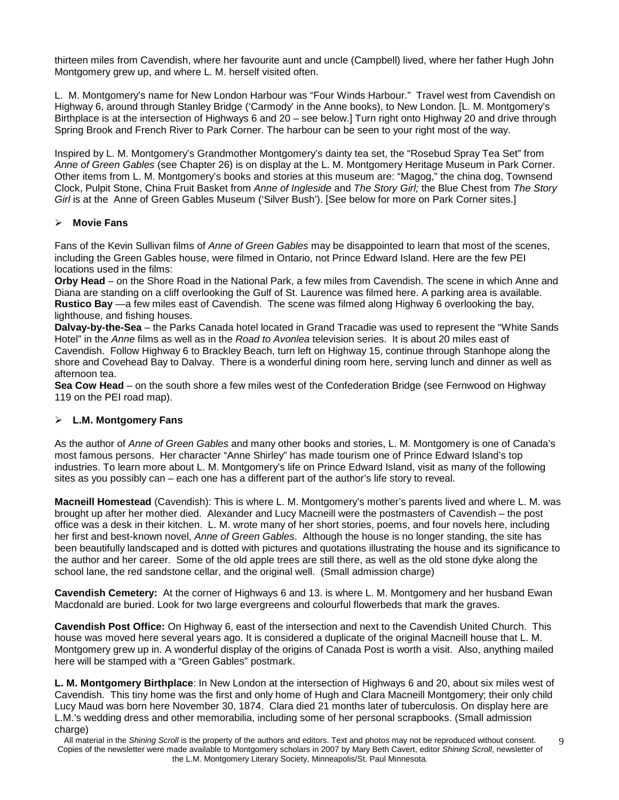thirteen miles from Cavendish, where her favourite aunt and uncle (Campbell) lived, where her father Hugh John Montgomery grew up, and where L. M. herself visited often.

L. M. Montgomery's name for New London Harbour was "Four Winds Harbour." Travel west from Cavendish on Highway 6, around through Stanley Bridge ('Carmody' in the Anne books), to New London. [L. M. Montgomery's Birthplace is at the intersection of Highways 6 and 20 – see below.] Turn right onto Highway 20 and drive through Spring Brook and French River to Park Corner. The harbour can be seen to your right most of the way.

Inspired by L. M. Montgomery's Grandmother Montgomery's dainty tea set, the "Rosebud Spray Tea Set" from Anne of Green Gables (see Chapter 26) is on display at the L. M. Montgomery Heritage Museum in Park Corner. Other items from L. M. Montgomery's books and stories at this museum are: "Magog," the china dog, Townsend Clock, Pulpit Stone, China Fruit Basket from Anne of Ingleside and The Story Girl; the Blue Chest from The Story Girl is at the Anne of Green Gables Museum ('Silver Bush'). [See below for more on Park Corner sites.]

### **Movie Fans**

Fans of the Kevin Sullivan films of Anne of Green Gables may be disappointed to learn that most of the scenes, including the Green Gables house, were filmed in Ontario, not Prince Edward Island. Here are the few PEI locations used in the films:

**Orby Head** – on the Shore Road in the National Park, a few miles from Cavendish. The scene in which Anne and Diana are standing on a cliff overlooking the Gulf of St. Laurence was filmed here. A parking area is available. **Rustico Bay** —a few miles east of Cavendish. The scene was filmed along Highway 6 overlooking the bay, lighthouse, and fishing houses.

**Dalvay-by-the-Sea** – the Parks Canada hotel located in Grand Tracadie was used to represent the "White Sands Hotel" in the Anne films as well as in the Road to Avonlea television series. It is about 20 miles east of Cavendish. Follow Highway 6 to Brackley Beach, turn left on Highway 15, continue through Stanhope along the shore and Covehead Bay to Dalvay. There is a wonderful dining room here, serving lunch and dinner as well as afternoon tea.

**Sea Cow Head** – on the south shore a few miles west of the Confederation Bridge (see Fernwood on Highway 119 on the PEI road map).

#### **L.M. Montgomery Fans**

As the author of Anne of Green Gables and many other books and stories, L. M. Montgomery is one of Canada's most famous persons. Her character "Anne Shirley" has made tourism one of Prince Edward Island's top industries. To learn more about L. M. Montgomery's life on Prince Edward Island, visit as many of the following sites as you possibly can – each one has a different part of the author's life story to reveal.

**Macneill Homestead** (Cavendish): This is where L. M. Montgomery's mother's parents lived and where L. M. was brought up after her mother died. Alexander and Lucy Macneill were the postmasters of Cavendish – the post office was a desk in their kitchen. L. M. wrote many of her short stories, poems, and four novels here, including her first and best-known novel, Anne of Green Gables. Although the house is no longer standing, the site has been beautifully landscaped and is dotted with pictures and quotations illustrating the house and its significance to the author and her career. Some of the old apple trees are still there, as well as the old stone dyke along the school lane, the red sandstone cellar, and the original well. (Small admission charge)

**Cavendish Cemetery:** At the corner of Highways 6 and 13. is where L. M. Montgomery and her husband Ewan Macdonald are buried. Look for two large evergreens and colourful flowerbeds that mark the graves.

**Cavendish Post Office:** On Highway 6, east of the intersection and next to the Cavendish United Church. This house was moved here several years ago. It is considered a duplicate of the original Macneill house that L. M. Montgomery grew up in. A wonderful display of the origins of Canada Post is worth a visit. Also, anything mailed here will be stamped with a "Green Gables" postmark.

**L. M. Montgomery Birthplace**: In New London at the intersection of Highways 6 and 20, about six miles west of Cavendish. This tiny home was the first and only home of Hugh and Clara Macneill Montgomery; their only child Lucy Maud was born here November 30, 1874. Clara died 21 months later of tuberculosis. On display here are L.M.'s wedding dress and other memorabilia, including some of her personal scrapbooks. (Small admission charge)

All material in the Shining Scroll is the property of the authors and editors. Text and photos may not be reproduced without consent. Copies of the newsletter were made available to Montgomery scholars in 2007 by Mary Beth Cavert, editor Shining Scroll, newsletter of the L.M. Montgomery Literary Society, Minneapolis/St. Paul Minnesota.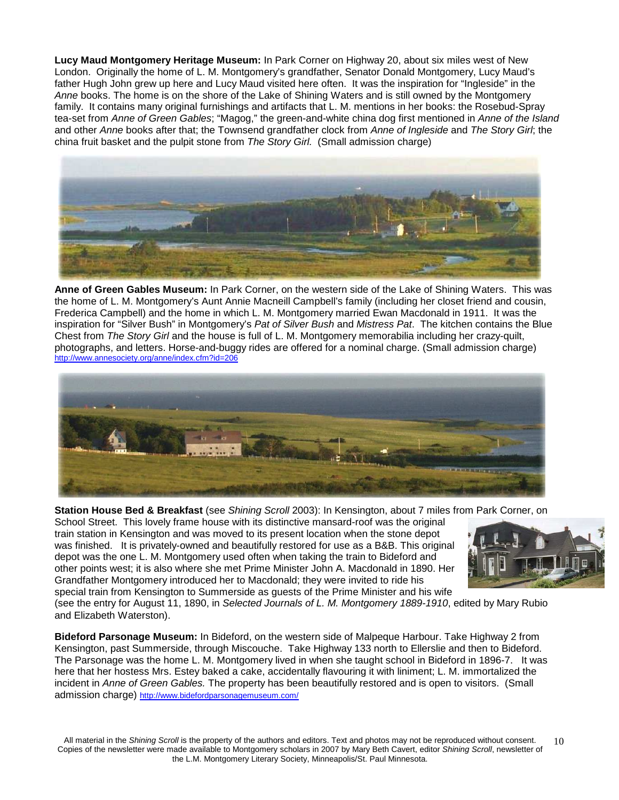**Lucy Maud Montgomery Heritage Museum:** In Park Corner on Highway 20, about six miles west of New London. Originally the home of L. M. Montgomery's grandfather, Senator Donald Montgomery, Lucy Maud's father Hugh John grew up here and Lucy Maud visited here often. It was the inspiration for "Ingleside" in the Anne books. The home is on the shore of the Lake of Shining Waters and is still owned by the Montgomery family. It contains many original furnishings and artifacts that L. M. mentions in her books: the Rosebud-Spray tea-set from Anne of Green Gables; "Magog," the green-and-white china dog first mentioned in Anne of the Island and other Anne books after that; the Townsend grandfather clock from Anne of Ingleside and The Story Girl; the china fruit basket and the pulpit stone from The Story Girl. (Small admission charge)



**Anne of Green Gables Museum:** In Park Corner, on the western side of the Lake of Shining Waters. This was the home of L. M. Montgomery's Aunt Annie Macneill Campbell's family (including her closet friend and cousin, Frederica Campbell) and the home in which L. M. Montgomery married Ewan Macdonald in 1911. It was the inspiration for "Silver Bush" in Montgomery's Pat of Silver Bush and Mistress Pat. The kitchen contains the Blue Chest from The Story Girl and the house is full of L. M. Montgomery memorabilia including her crazy-quilt, photographs, and letters. Horse-and-buggy rides are offered for a nominal charge. (Small admission charge) http://www.annesociety.org/anne/index.cfm?id=206



**Station House Bed & Breakfast** (see Shining Scroll 2003): In Kensington, about 7 miles from Park Corner, on

School Street. This lovely frame house with its distinctive mansard-roof was the original train station in Kensington and was moved to its present location when the stone depot was finished. It is privately-owned and beautifully restored for use as a B&B. This original depot was the one L. M. Montgomery used often when taking the train to Bideford and other points west; it is also where she met Prime Minister John A. Macdonald in 1890. Her Grandfather Montgomery introduced her to Macdonald; they were invited to ride his special train from Kensington to Summerside as guests of the Prime Minister and his wife



(see the entry for August 11, 1890, in Selected Journals of L. M. Montgomery 1889-1910, edited by Mary Rubio and Elizabeth Waterston).

**Bideford Parsonage Museum:** In Bideford, on the western side of Malpeque Harbour. Take Highway 2 from Kensington, past Summerside, through Miscouche. Take Highway 133 north to Ellerslie and then to Bideford. The Parsonage was the home L. M. Montgomery lived in when she taught school in Bideford in 1896-7. It was here that her hostess Mrs. Estey baked a cake, accidentally flavouring it with liniment; L. M. immortalized the incident in Anne of Green Gables. The property has been beautifully restored and is open to visitors. (Small admission charge) http://www.bidefordparsonagemuseum.com/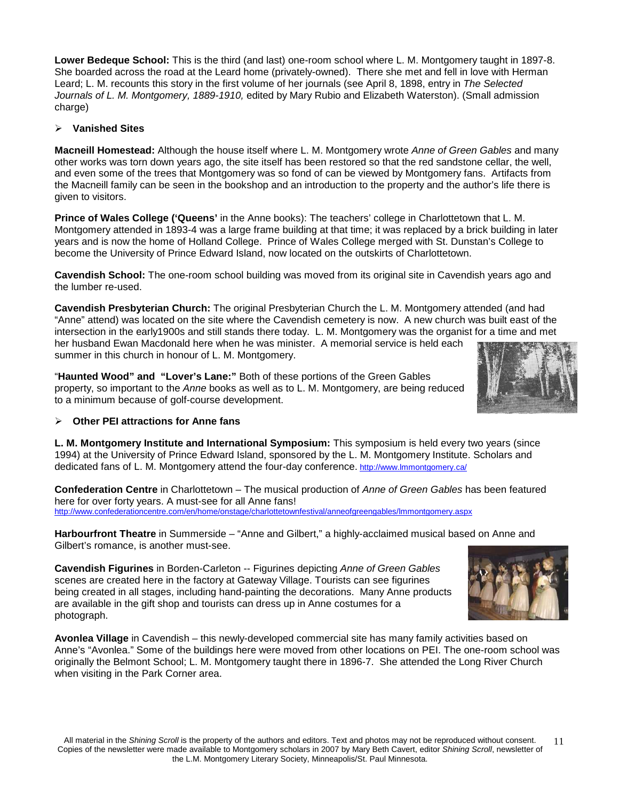**Lower Bedeque School:** This is the third (and last) one-room school where L. M. Montgomery taught in 1897-8. She boarded across the road at the Leard home (privately-owned). There she met and fell in love with Herman Leard; L. M. recounts this story in the first volume of her journals (see April 8, 1898, entry in The Selected Journals of L. M. Montgomery, 1889-1910, edited by Mary Rubio and Elizabeth Waterston). (Small admission charge)

#### **Vanished Sites**

**Macneill Homestead:** Although the house itself where L. M. Montgomery wrote Anne of Green Gables and many other works was torn down years ago, the site itself has been restored so that the red sandstone cellar, the well, and even some of the trees that Montgomery was so fond of can be viewed by Montgomery fans. Artifacts from the Macneill family can be seen in the bookshop and an introduction to the property and the author's life there is given to visitors.

**Prince of Wales College ('Queens'** in the Anne books): The teachers' college in Charlottetown that L. M. Montgomery attended in 1893-4 was a large frame building at that time; it was replaced by a brick building in later years and is now the home of Holland College. Prince of Wales College merged with St. Dunstan's College to become the University of Prince Edward Island, now located on the outskirts of Charlottetown.

**Cavendish School:** The one-room school building was moved from its original site in Cavendish years ago and the lumber re-used.

**Cavendish Presbyterian Church:** The original Presbyterian Church the L. M. Montgomery attended (and had "Anne" attend) was located on the site where the Cavendish cemetery is now. A new church was built east of the intersection in the early1900s and still stands there today. L. M. Montgomery was the organist for a time and met her husband Ewan Macdonald here when he was minister. A memorial service is held each summer in this church in honour of L. M. Montgomery.

"**Haunted Wood" and "Lover's Lane:"** Both of these portions of the Green Gables property, so important to the Anne books as well as to L. M. Montgomery, are being reduced to a minimum because of golf-course development.



#### **Other PEI attractions for Anne fans**

**L. M. Montgomery Institute and International Symposium:** This symposium is held every two years (since 1994) at the University of Prince Edward Island, sponsored by the L. M. Montgomery Institute. Scholars and dedicated fans of L. M. Montgomery attend the four-day conference. http://www.lmmontgomery.ca/

**Confederation Centre** in Charlottetown – The musical production of Anne of Green Gables has been featured here for over forty years. A must-see for all Anne fans! http://www.confederationcentre.com/en/home/onstage/charlottetownfestival/anneofgreengables/lmmontgomery.aspx

**Harbourfront Theatre** in Summerside – "Anne and Gilbert," a highly-acclaimed musical based on Anne and Gilbert's romance, is another must-see.

**Cavendish Figurines** in Borden-Carleton -- Figurines depicting Anne of Green Gables scenes are created here in the factory at Gateway Village. Tourists can see figurines being created in all stages, including hand-painting the decorations. Many Anne products are available in the gift shop and tourists can dress up in Anne costumes for a photograph.

**Avonlea Village** in Cavendish – this newly-developed commercial site has many family activities based on Anne's "Avonlea." Some of the buildings here were moved from other locations on PEI. The one-room school was originally the Belmont School; L. M. Montgomery taught there in 1896-7. She attended the Long River Church when visiting in the Park Corner area.

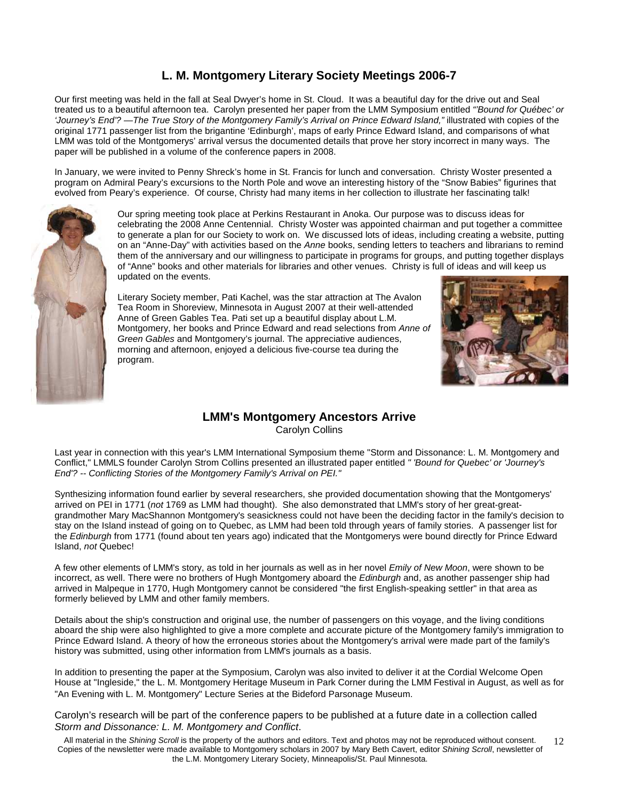### **L. M. Montgomery Literary Society Meetings 2006-7**

Our first meeting was held in the fall at Seal Dwyer's home in St. Cloud. It was a beautiful day for the drive out and Seal treated us to a beautiful afternoon tea. Carolyn presented her paper from the LMM Symposium entitled "'Bound for Québec' or 'Journey's End'? —The True Story of the Montgomery Family's Arrival on Prince Edward Island," illustrated with copies of the original 1771 passenger list from the brigantine 'Edinburgh', maps of early Prince Edward Island, and comparisons of what LMM was told of the Montgomerys' arrival versus the documented details that prove her story incorrect in many ways. The paper will be published in a volume of the conference papers in 2008.

In January, we were invited to Penny Shreck's home in St. Francis for lunch and conversation. Christy Woster presented a program on Admiral Peary's excursions to the North Pole and wove an interesting history of the "Snow Babies" figurines that evolved from Peary's experience. Of course, Christy had many items in her collection to illustrate her fascinating talk!



Our spring meeting took place at Perkins Restaurant in Anoka. Our purpose was to discuss ideas for celebrating the 2008 Anne Centennial. Christy Woster was appointed chairman and put together a committee to generate a plan for our Society to work on. We discussed lots of ideas, including creating a website, putting on an "Anne-Day" with activities based on the Anne books, sending letters to teachers and librarians to remind them of the anniversary and our willingness to participate in programs for groups, and putting together displays of "Anne" books and other materials for libraries and other venues. Christy is full of ideas and will keep us updated on the events.

Literary Society member, Pati Kachel, was the star attraction at The Avalon Tea Room in Shoreview, Minnesota in August 2007 at their well-attended Anne of Green Gables Tea. Pati set up a beautiful display about L.M. Montgomery, her books and Prince Edward and read selections from Anne of Green Gables and Montgomery's journal. The appreciative audiences, morning and afternoon, enjoyed a delicious five-course tea during the program.



### **LMM's Montgomery Ancestors Arrive**

Carolyn Collins

Last year in connection with this year's LMM International Symposium theme "Storm and Dissonance: L. M. Montgomery and Conflict," LMMLS founder Carolyn Strom Collins presented an illustrated paper entitled " 'Bound for Quebec' or 'Journey's End'? -- Conflicting Stories of the Montgomery Family's Arrival on PEI."

Synthesizing information found earlier by several researchers, she provided documentation showing that the Montgomerys' arrived on PEI in 1771 (not 1769 as LMM had thought). She also demonstrated that LMM's story of her great-greatgrandmother Mary MacShannon Montgomery's seasickness could not have been the deciding factor in the family's decision to stay on the Island instead of going on to Quebec, as LMM had been told through years of family stories. A passenger list for the Edinburgh from 1771 (found about ten years ago) indicated that the Montgomerys were bound directly for Prince Edward Island, not Quebec!

A few other elements of LMM's story, as told in her journals as well as in her novel Emily of New Moon, were shown to be incorrect, as well. There were no brothers of Hugh Montgomery aboard the Edinburgh and, as another passenger ship had arrived in Malpeque in 1770, Hugh Montgomery cannot be considered "the first English-speaking settler" in that area as formerly believed by LMM and other family members.

Details about the ship's construction and original use, the number of passengers on this voyage, and the living conditions aboard the ship were also highlighted to give a more complete and accurate picture of the Montgomery family's immigration to Prince Edward Island. A theory of how the erroneous stories about the Montgomery's arrival were made part of the family's history was submitted, using other information from LMM's journals as a basis.

In addition to presenting the paper at the Symposium, Carolyn was also invited to deliver it at the Cordial Welcome Open House at "Ingleside," the L. M. Montgomery Heritage Museum in Park Corner during the LMM Festival in August, as well as for "An Evening with L. M. Montgomery" Lecture Series at the Bideford Parsonage Museum.

Carolyn's research will be part of the conference papers to be published at a future date in a collection called Storm and Dissonance: L. M. Montgomery and Conflict.

All material in the Shining Scroll is the property of the authors and editors. Text and photos may not be reproduced without consent. Copies of the newsletter were made available to Montgomery scholars in 2007 by Mary Beth Cavert, editor Shining Scroll, newsletter of the L.M. Montgomery Literary Society, Minneapolis/St. Paul Minnesota. 12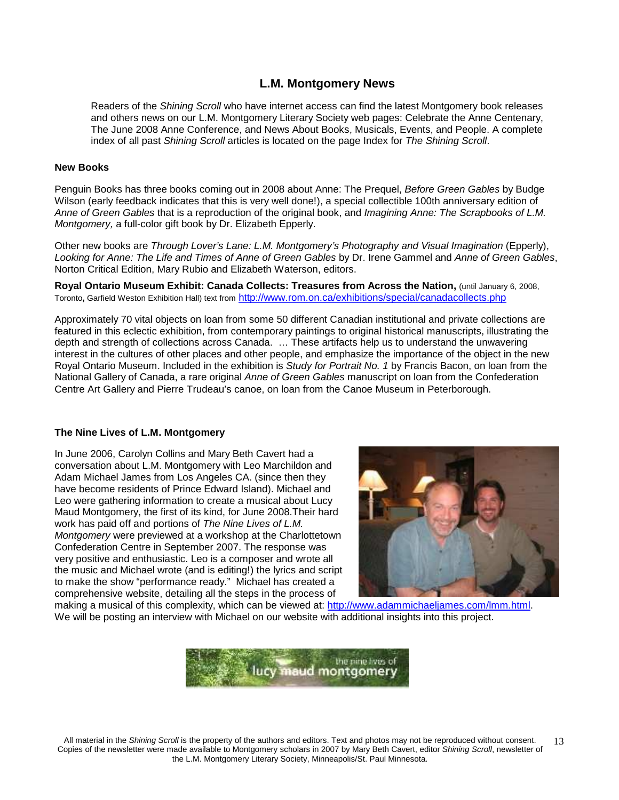### **L.M. Montgomery News**

Readers of the Shining Scroll who have internet access can find the latest Montgomery book releases and others news on our L.M. Montgomery Literary Society web pages: Celebrate the Anne Centenary, The June 2008 Anne Conference, and News About Books, Musicals, Events, and People. A complete index of all past Shining Scroll articles is located on the page Index for The Shining Scroll.

#### **New Books**

Penguin Books has three books coming out in 2008 about Anne: The Prequel, Before Green Gables by Budge Wilson (early feedback indicates that this is very well done!), a special collectible 100th anniversary edition of Anne of Green Gables that is a reproduction of the original book, and Imagining Anne: The Scrapbooks of L.M. Montgomery, a full-color gift book by Dr. Elizabeth Epperly.

Other new books are Through Lover's Lane: L.M. Montgomery's Photography and Visual Imagination (Epperly), Looking for Anne: The Life and Times of Anne of Green Gables by Dr. Irene Gammel and Anne of Green Gables, Norton Critical Edition, Mary Rubio and Elizabeth Waterson, editors.

**Royal Ontario Museum Exhibit: Canada Collects: Treasures from Across the Nation,** (until January 6, 2008, Toronto**,** Garfield Weston Exhibition Hall) text from http://www.rom.on.ca/exhibitions/special/canadacollects.php

Approximately 70 vital objects on loan from some 50 different Canadian institutional and private collections are featured in this eclectic exhibition, from contemporary paintings to original historical manuscripts, illustrating the depth and strength of collections across Canada. … These artifacts help us to understand the unwavering interest in the cultures of other places and other people, and emphasize the importance of the object in the new Royal Ontario Museum. Included in the exhibition is Study for Portrait No. 1 by Francis Bacon, on loan from the National Gallery of Canada, a rare original Anne of Green Gables manuscript on loan from the Confederation Centre Art Gallery and Pierre Trudeau's canoe, on loan from the Canoe Museum in Peterborough.

#### **The Nine Lives of L.M. Montgomery**

In June 2006, Carolyn Collins and Mary Beth Cavert had a conversation about L.M. Montgomery with Leo Marchildon and Adam Michael James from Los Angeles CA. (since then they have become residents of Prince Edward Island). Michael and Leo were gathering information to create a musical about Lucy Maud Montgomery, the first of its kind, for June 2008.Their hard work has paid off and portions of The Nine Lives of L.M. Montgomery were previewed at a workshop at the Charlottetown Confederation Centre in September 2007. The response was very positive and enthusiastic. Leo is a composer and wrote all the music and Michael wrote (and is editing!) the lyrics and script to make the show "performance ready." Michael has created a comprehensive website, detailing all the steps in the process of



making a musical of this complexity, which can be viewed at: http://www.adammichaeljames.com/lmm.html. We will be posting an interview with Michael on our website with additional insights into this project.

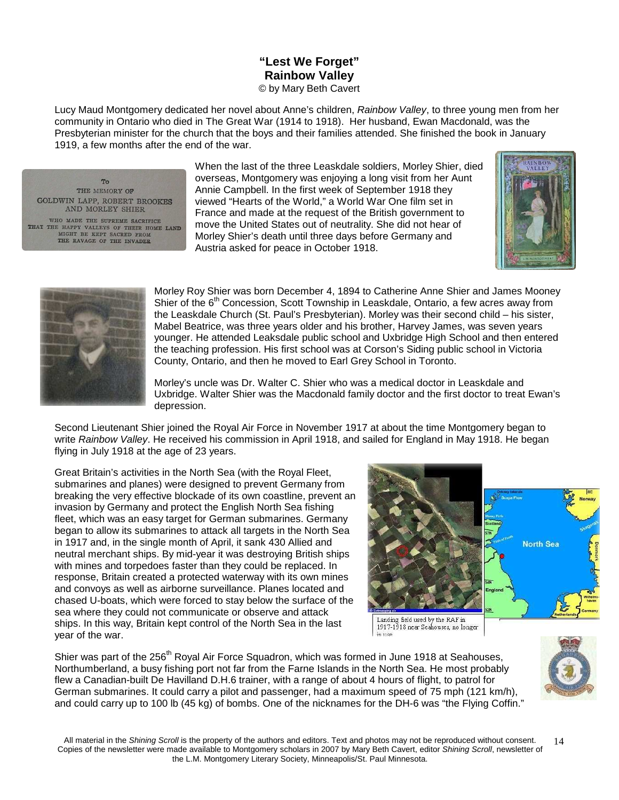### **"Lest We Forget" Rainbow Valley** © by Mary Beth Cavert

Lucy Maud Montgomery dedicated her novel about Anne's children, Rainbow Valley, to three young men from her community in Ontario who died in The Great War (1914 to 1918). Her husband, Ewan Macdonald, was the Presbyterian minister for the church that the boys and their families attended. She finished the book in January 1919, a few months after the end of the war.

To<sub>1</sub> THE MEMORY OF GOLDWIN LAPP, ROBERT BROOKES AND MORLEY SHIER WHO MADE THE SUPREME SACRIFICE THAT THE HAPPY VALLEYS OF THEIR HOME LAND MIGHT BE KEPT SACRED FROM THE RAVAGE OF THE INVADER

When the last of the three Leaskdale soldiers, Morley Shier, died overseas, Montgomery was enjoying a long visit from her Aunt Annie Campbell. In the first week of September 1918 they viewed "Hearts of the World," a World War One film set in France and made at the request of the British government to move the United States out of neutrality. She did not hear of Morley Shier's death until three days before Germany and Austria asked for peace in October 1918.





Morley Roy Shier was born December 4, 1894 to Catherine Anne Shier and James Mooney Shier of the 6<sup>th</sup> Concession, Scott Township in Leaskdale, Ontario, a few acres away from the Leaskdale Church (St. Paul's Presbyterian). Morley was their second child – his sister, Mabel Beatrice, was three years older and his brother, Harvey James, was seven years younger. He attended Leaksdale public school and Uxbridge High School and then entered the teaching profession. His first school was at Corson's Siding public school in Victoria County, Ontario, and then he moved to Earl Grey School in Toronto.

Morley's uncle was Dr. Walter C. Shier who was a medical doctor in Leaskdale and Uxbridge. Walter Shier was the Macdonald family doctor and the first doctor to treat Ewan's depression.

Second Lieutenant Shier joined the Royal Air Force in November 1917 at about the time Montgomery began to write Rainbow Valley. He received his commission in April 1918, and sailed for England in May 1918. He began flying in July 1918 at the age of 23 years.

Great Britain's activities in the North Sea (with the Royal Fleet, submarines and planes) were designed to prevent Germany from breaking the very effective blockade of its own coastline, prevent an invasion by Germany and protect the English North Sea fishing fleet, which was an easy target for German submarines. Germany began to allow its submarines to attack all targets in the North Sea in 1917 and, in the single month of April, it sank 430 Allied and neutral merchant ships. By mid-year it was destroying British ships with mines and torpedoes faster than they could be replaced. In response, Britain created a protected waterway with its own mines and convoys as well as airborne surveillance. Planes located and chased U-boats, which were forced to stay below the surface of the sea where they could not communicate or observe and attack ships. In this way, Britain kept control of the North Sea in the last year of the war.



Landing field used by the RAF in 1917-1918 near Seahouses, no longer

Shier was part of the 256<sup>th</sup> Royal Air Force Squadron, which was formed in June 1918 at Seahouses, Northumberland, a busy fishing port not far from the Farne Islands in the North Sea. He most probably flew a Canadian-built De Havilland D.H.6 trainer, with a range of about 4 hours of flight, to patrol for German submarines. It could carry a pilot and passenger, had a maximum speed of 75 mph (121 km/h), and could carry up to 100 lb (45 kg) of bombs. One of the nicknames for the DH-6 was "the Flying Coffin."